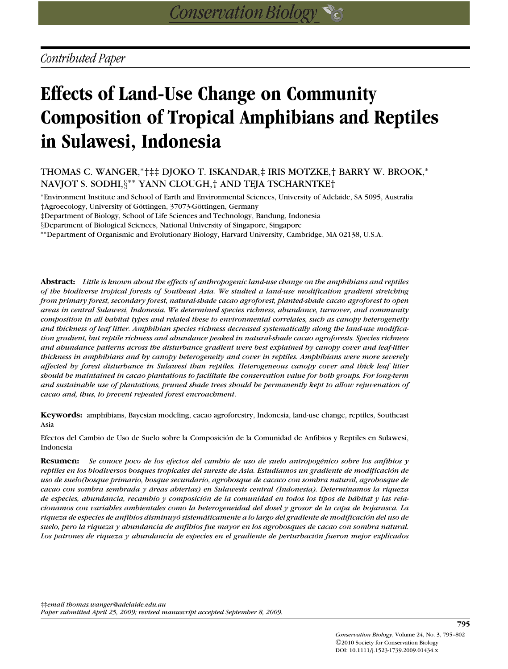# **Effects of Land-Use Change on Community Composition of Tropical Amphibians and Reptiles in Sulawesi, Indonesia**

# THOMAS C. WANGER,∗†‡‡ DJOKO T. ISKANDAR,‡ IRIS MOTZKE,† BARRY W. BROOK,<sup>∗</sup> NAVJOT S. SODHI,§∗∗ YANN CLOUGH,† AND TEJA TSCHARNTKE†

<sup>∗</sup>Environment Institute and School of Earth and Environmental Sciences, University of Adelaide, SA 5095, Australia †Agroecology, University of Göttingen, 37073-Göttingen, Germany

‡Department of Biology, School of Life Sciences and Technology, Bandung, Indonesia

§Department of Biological Sciences, National University of Singapore, Singapore

∗∗Department of Organismic and Evolutionary Biology, Harvard University, Cambridge, MA 02138, U.S.A.

**Abstract:** *Little is known about the effects of anthropogenic land-use change on the amphibians and reptiles of the biodiverse tropical forests of Southeast Asia. We studied a land-use modification gradient stretching from primary forest, secondary forest, natural-shade cacao agroforest, planted-shade cacao agroforest to open areas in central Sulawesi, Indonesia. We determined species richness, abundance, turnover, and community composition in all habitat types and related these to environmental correlates, such as canopy heterogeneity and thickness of leaf litter. Amphibian species richness decreased systematically along the land-use modification gradient, but reptile richness and abundance peaked in natural-shade cacao agroforests. Species richness and abundance patterns across the disturbance gradient were best explained by canopy cover and leaf-litter thickness in amphibians and by canopy heterogeneity and cover in reptiles. Amphibians were more severely affected by forest disturbance in Sulawesi than reptiles. Heterogeneous canopy cover and thick leaf litter should be maintained in cacao plantations to facilitate the conservation value for both groups. For long-term and sustainable use of plantations, pruned shade trees should be permanently kept to allow rejuvenation of cacao and, thus, to prevent repeated forest encroachment*.

**Keywords:** amphibians, Bayesian modeling, cacao agroforestry, Indonesia, land-use change, reptiles, Southeast Asia

Efectos del Cambio de Uso de Suelo sobre la Composicion de la Comunidad de Anfibios y Reptiles en Sulawesi, ´ Indonesia

**Resumen:** *Se conoce poco de los efectos del cambio de uso de suelo antropogénico sobre los anfibios y reptiles en los biodiversos bosques tropicales del sureste de Asia. Estudiamos un gradiente de modificacion de ´ uso de suelo(bosque primario, bosque secundario, agrobosque de cacaco con sombra natural, agrobosque de cacao con sombra sembrada y areas abiertas) en Sulawesis central (Indonesia). Determinamos la riqueza ´ de especies, abundancia, recambio y composicion de la comunidad en todos los tipos de h ´ abitat y las rela- ´ cionamos con variables ambientales como la heterogeneidad del dosel y grosor de la capa de hojarasca. La riqueza de especies de anfibios disminuyo sistem ´ aticamente a lo largo del gradiente de modificaci ´ on del uso de ´ suelo, pero la riqueza y abundancia de anfibios fue mayor en los agrobosques de cacao con sombra natural. Los patrones de riqueza y abundancia de especies en el gradiente de perturbacion fueron mejor explicados ´*

**795**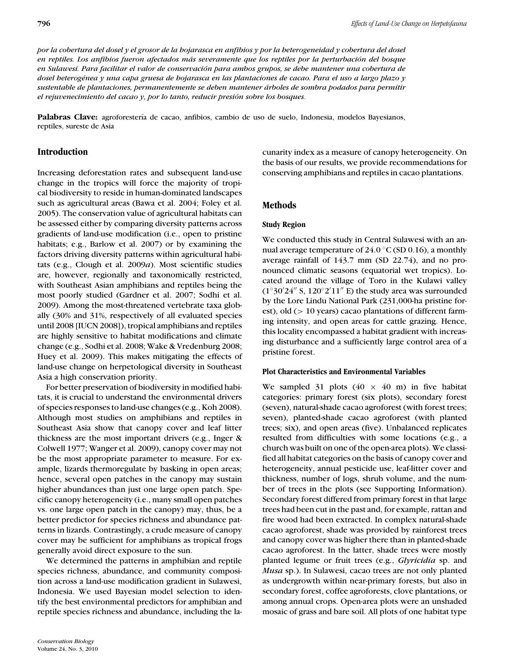*por la cobertura del dosel y el grosor de la hojarasca en anfibios y por la heterogeneidad y cobertura del dosel en reptiles. Los anfibios fueron afectados mas severamente que los reptiles por la perturbaci ´ on del bosque ´ en Sulawesi. Para facilitar el valor de conservacion para ambos grupos, se debe mantener una cobertura de ´ dosel heterog´enea y una capa gruesa de hojarasca en las plantaciones de cacao. Para el uso a largo plazo y sustentable de plantaciones, permanentemente se deben mantener arboles de sombra podados para permitir ´ el rejuvenecimiento del cacao y, por lo tanto, reducir presion sobre los bosques ´* .

**Palabras Clave:** agroforestería de cacao, anfibios, cambio de uso de suelo, Indonesia, modelos Bayesianos, reptiles, sureste de Asia

# **Introduction**

Increasing deforestation rates and subsequent land-use change in the tropics will force the majority of tropical biodiversity to reside in human-dominated landscapes such as agricultural areas (Bawa et al. 2004; Foley et al. 2005). The conservation value of agricultural habitats can be assessed either by comparing diversity patterns across gradients of land-use modification (i.e., open to pristine habitats; e.g., Barlow et al. 2007) or by examining the factors driving diversity patterns within agricultural habitats (e.g., Clough et al. 2009*a*). Most scientific studies are, however, regionally and taxonomically restricted, with Southeast Asian amphibians and reptiles being the most poorly studied (Gardner et al. 2007; Sodhi et al. 2009). Among the most-threatened vertebrate taxa globally (30% and 31%, respectively of all evaluated species until 2008 [IUCN 2008]), tropical amphibians and reptiles are highly sensitive to habitat modifications and climate change (e.g., Sodhi et al. 2008; Wake & Vredenburg 2008; Huey et al. 2009). This makes mitigating the effects of land-use change on herpetological diversity in Southeast Asia a high conservation priority.

For better preservation of biodiversity in modified habitats, it is crucial to understand the environmental drivers of species responses to land-use changes (e.g., Koh 2008). Although most studies on amphibians and reptiles in Southeast Asia show that canopy cover and leaf litter thickness are the most important drivers (e.g., Inger & Colwell 1977; Wanger et al. 2009), canopy cover may not be the most appropriate parameter to measure. For example, lizards thermoregulate by basking in open areas; hence, several open patches in the canopy may sustain higher abundances than just one large open patch. Specific canopy heterogeneity (i.e., many small open patches vs. one large open patch in the canopy) may, thus, be a better predictor for species richness and abundance patterns in lizards. Contrastingly, a crude measure of canopy cover may be sufficient for amphibians as tropical frogs generally avoid direct exposure to the sun.

We determined the patterns in amphibian and reptile species richness, abundance, and community composition across a land-use modification gradient in Sulawesi, Indonesia. We used Bayesian model selection to identify the best environmental predictors for amphibian and reptile species richness and abundance, including the lacunarity index as a measure of canopy heterogeneity. On the basis of our results, we provide recommendations for conserving amphibians and reptiles in cacao plantations.

## **Methods**

## **Study Region**

We conducted this study in Central Sulawesi with an annual average temperature of 24.0  $°C$  (SD 0.16), a monthly average rainfall of 143.7 mm (SD 22.74), and no pronounced climatic seasons (equatorial wet tropics). Located around the village of Toro in the Kulawi valley (1°30′24″ S, 120°2′11″ E) the study area was surrounded by the Lore Lindu National Park (231,000-ha pristine forest), old (> 10 years) cacao plantations of different farming intensity, and open areas for cattle grazing. Hence, this locality encompassed a habitat gradient with increasing disturbance and a sufficiently large control area of a pristine forest.

## **Plot Characteristics and Environmental Variables**

We sampled 31 plots  $(40 \times 40 \text{ m})$  in five habitat categories: primary forest (six plots), secondary forest (seven), natural-shade cacao agroforest (with forest trees; seven), planted-shade cacao agroforest (with planted trees; six), and open areas (five). Unbalanced replicates resulted from difficulties with some locations (e.g., a church was built on one of the open-area plots). We classified all habitat categories on the basis of canopy cover and heterogeneity, annual pesticide use, leaf-litter cover and thickness, number of logs, shrub volume, and the number of trees in the plots (see Supporting Information). Secondary forest differed from primary forest in that large trees had been cut in the past and, for example, rattan and fire wood had been extracted. In complex natural-shade cacao agroforest, shade was provided by rainforest trees and canopy cover was higher there than in planted-shade cacao agroforest. In the latter, shade trees were mostly planted legume or fruit trees (e.g., *Glyricidia* sp. and *Musa* sp.). In Sulawesi, cacao trees are not only planted as undergrowth within near-primary forests, but also in secondary forest, coffee agroforests, clove plantations, or among annual crops. Open-area plots were an unshaded mosaic of grass and bare soil. All plots of one habitat type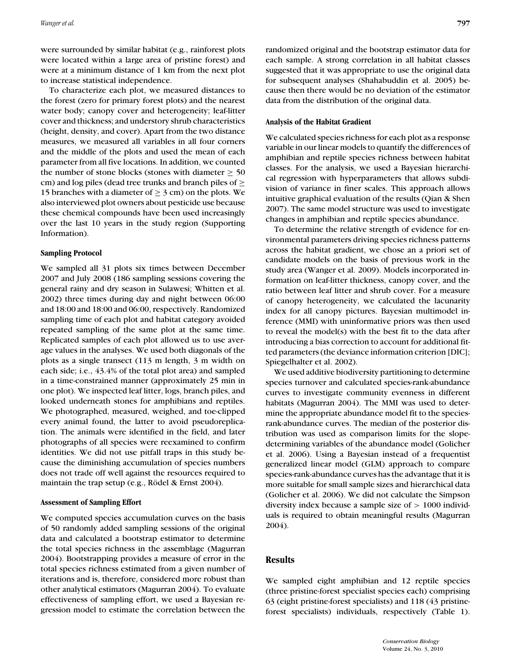were surrounded by similar habitat (e.g., rainforest plots were located within a large area of pristine forest) and were at a minimum distance of 1 km from the next plot to increase statistical independence.

To characterize each plot, we measured distances to the forest (zero for primary forest plots) and the nearest water body; canopy cover and heterogeneity; leaf-litter cover and thickness; and understory shrub characteristics (height, density, and cover). Apart from the two distance measures, we measured all variables in all four corners and the middle of the plots and used the mean of each parameter from all five locations. In addition, we counted the number of stone blocks (stones with diameter  $\geq 50$ cm) and log piles (dead tree trunks and branch piles of  $\geq$ 15 branches with a diameter of  $\geq$  3 cm) on the plots. We also interviewed plot owners about pesticide use because these chemical compounds have been used increasingly over the last 10 years in the study region (Supporting Information).

### **Sampling Protocol**

We sampled all 31 plots six times between December 2007 and July 2008 (186 sampling sessions covering the general rainy and dry season in Sulawesi; Whitten et al. 2002) three times during day and night between 06:00 and 18:00 and 18:00 and 06:00, respectively. Randomized sampling time of each plot and habitat category avoided repeated sampling of the same plot at the same time. Replicated samples of each plot allowed us to use average values in the analyses. We used both diagonals of the plots as a single transect (113 m length, 3 m width on each side; i.e., 43.4% of the total plot area) and sampled in a time-constrained manner (approximately 25 min in one plot). We inspected leaf litter, logs, branch piles, and looked underneath stones for amphibians and reptiles. We photographed, measured, weighed, and toe-clipped every animal found, the latter to avoid pseudoreplication. The animals were identified in the field, and later photographs of all species were reexamined to confirm identities. We did not use pitfall traps in this study because the diminishing accumulation of species numbers does not trade off well against the resources required to maintain the trap setup (e.g., Rödel & Ernst  $2004$ ).

#### **Assessment of Sampling Effort**

We computed species accumulation curves on the basis of 50 randomly added sampling sessions of the original data and calculated a bootstrap estimator to determine the total species richness in the assemblage (Magurran 2004). Bootstrapping provides a measure of error in the total species richness estimated from a given number of iterations and is, therefore, considered more robust than other analytical estimators (Magurran 2004). To evaluate effectiveness of sampling effort, we used a Bayesian regression model to estimate the correlation between the randomized original and the bootstrap estimator data for each sample. A strong correlation in all habitat classes suggested that it was appropriate to use the original data for subsequent analyses (Shahabuddin et al. 2005) because then there would be no deviation of the estimator data from the distribution of the original data.

#### **Analysis of the Habitat Gradient**

We calculated species richness for each plot as a response variable in our linear models to quantify the differences of amphibian and reptile species richness between habitat classes. For the analysis, we used a Bayesian hierarchical regression with hyperparameters that allows subdivision of variance in finer scales. This approach allows intuitive graphical evaluation of the results (Qian & Shen 2007). The same model structure was used to investigate changes in amphibian and reptile species abundance.

To determine the relative strength of evidence for environmental parameters driving species richness patterns across the habitat gradient, we chose an a priori set of candidate models on the basis of previous work in the study area (Wanger et al. 2009). Models incorporated information on leaf-litter thickness, canopy cover, and the ratio between leaf litter and shrub cover. For a measure of canopy heterogeneity, we calculated the lacunarity index for all canopy pictures. Bayesian multimodel inference (MMI) with uninformative priors was then used to reveal the model(s) with the best fit to the data after introducing a bias correction to account for additional fitted parameters (the deviance information criterion [DIC]; Spiegelhalter et al. 2002).

We used additive biodiversity partitioning to determine species turnover and calculated species-rank-abundance curves to investigate community evenness in different habitats (Magurran 2004). The MMI was used to determine the appropriate abundance model fit to the speciesrank-abundance curves. The median of the posterior distribution was used as comparison limits for the slopedetermining variables of the abundance model (Golicher et al. 2006). Using a Bayesian instead of a frequentist generalized linear model (GLM) approach to compare species-rank-abundance curves has the advantage that it is more suitable for small sample sizes and hierarchical data (Golicher et al. 2006). We did not calculate the Simpson diversity index because a sample size of > 1000 individuals is required to obtain meaningful results (Magurran 2004).

## **Results**

We sampled eight amphibian and 12 reptile species (three pristine-forest specialist species each) comprising 63 (eight pristine-forest specialists) and 118 (43 pristineforest specialists) individuals, respectively (Table 1).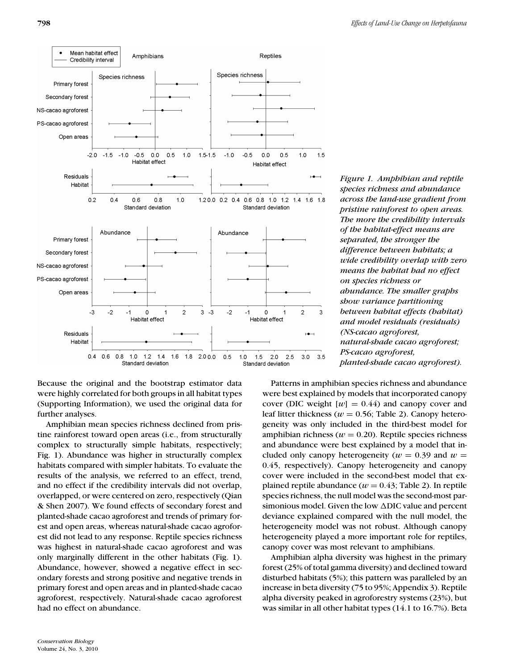

Because the original and the bootstrap estimator data were highly correlated for both groups in all habitat types (Supporting Information), we used the original data for further analyses.

Amphibian mean species richness declined from pristine rainforest toward open areas (i.e., from structurally complex to structurally simple habitats, respectively; Fig. 1). Abundance was higher in structurally complex habitats compared with simpler habitats. To evaluate the results of the analysis, we referred to an effect, trend, and no effect if the credibility intervals did not overlap, overlapped, or were centered on zero, respectively (Qian & Shen 2007). We found effects of secondary forest and planted-shade cacao agroforest and trends of primary forest and open areas, whereas natural-shade cacao agroforest did not lead to any response. Reptile species richness was highest in natural-shade cacao agroforest and was only marginally different in the other habitats (Fig. 1). Abundance, however, showed a negative effect in secondary forests and strong positive and negative trends in primary forest and open areas and in planted-shade cacao agroforest, respectively. Natural-shade cacao agroforest had no effect on abundance.

*Figure 1. Amphibian and reptile species richness and abundance across the land-use gradient from pristine rainforest to open areas. The more the credibility intervals of the habitat-effect means are separated, the stronger the difference between habitats; a wide credibility overlap with zero means the habitat had no effect on species richness or abundance. The smaller graphs show variance partitioning between habitat effects (habitat) and model residuals (residuals) (NS-cacao agroforest, natural-shade cacao agroforest; PS-cacao agroforest, planted-shade cacao agroforest).*

Patterns in amphibian species richness and abundance were best explained by models that incorporated canopy cover (DIC weight  $[w] = 0.44$ ) and canopy cover and leaf litter thickness ( $w = 0.56$ ; Table 2). Canopy heterogeneity was only included in the third-best model for amphibian richness ( $w = 0.20$ ). Reptile species richness and abundance were best explained by a model that included only canopy heterogeneity ( $w = 0.39$  and  $w =$ 0.45, respectively). Canopy heterogeneity and canopy cover were included in the second-best model that explained reptile abundance ( $w = 0.43$ ; Table 2). In reptile species richness, the null model was the second-most parsimonious model. Given the low  $\Delta$ DIC value and percent deviance explained compared with the null model, the heterogeneity model was not robust. Although canopy heterogeneity played a more important role for reptiles, canopy cover was most relevant to amphibians.

Amphibian alpha diversity was highest in the primary forest (25% of total gamma diversity) and declined toward disturbed habitats (5%); this pattern was paralleled by an increase in beta diversity (75 to 95%; Appendix 3). Reptile alpha diversity peaked in agroforestry systems (23%), but was similar in all other habitat types (14.1 to 16.7%). Beta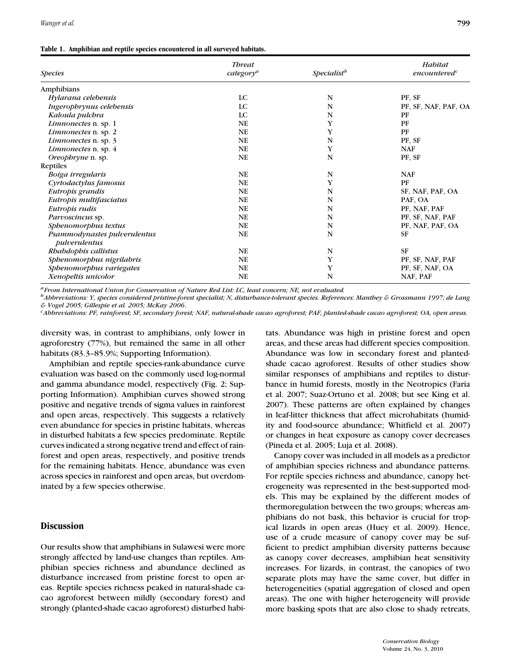#### **Table 1. Amphibian and reptile species encountered in all surveyed habitats.**

| <b>Species</b>                                | <b>Threat</b><br>$category^a$ | <i>Specialist<sup>b</sup></i> | Habitat<br>encountered <sup>c</sup> |  |
|-----------------------------------------------|-------------------------------|-------------------------------|-------------------------------------|--|
| Amphibians                                    |                               |                               |                                     |  |
| Hylarana celebensis                           | LC                            | N                             | PF, SF                              |  |
| Ingerophrynus celebensis                      | LC                            | N                             | PF, SF, NAF, PAF, OA                |  |
| Kaloula pulchra                               | LC                            | N                             | PF                                  |  |
| Limnonectes n. sp. 1                          | NE                            | Y                             | PF                                  |  |
| Limnonectes n. sp. 2                          | NE                            | Y                             | PF                                  |  |
| <i>Limnonectes</i> n. sp. 3                   | <b>NE</b>                     | N                             | PF, SF                              |  |
| <i>Limnonectes</i> n. sp. 4                   | NE                            | Y                             | <b>NAF</b>                          |  |
| Oreophryne n. sp.                             | NE                            | N                             | PF, SF                              |  |
| Reptiles                                      |                               |                               |                                     |  |
| Boiga irregularis                             | NE                            | $\mathbf N$                   | <b>NAF</b>                          |  |
| Cyrtodactylus famosus                         | NE                            | Y                             | PF                                  |  |
| Eutropis grandis                              | NE                            | N                             | SF, NAF, PAF, OA                    |  |
| Eutropis multifasciatus                       | NE                            | N                             | PAF, OA                             |  |
| Eutropis rudis                                | NE                            | N                             | PF, NAF, PAF                        |  |
| Parvoscincus sp.                              | NE                            | N                             | PF, SF, NAF, PAF                    |  |
| Sphenomorphus textus                          | NE                            | N                             | PF, NAF, PAF, OA                    |  |
| Psammodynastes pulverulentus<br>pulverulentus | NE                            | N                             | <b>SF</b>                           |  |
| Rhabdophis callistus                          | NE                            | N                             | <b>SF</b>                           |  |
| Sphenomorphus nigrilabris                     | <b>NE</b>                     | Y                             | PF, SF, NAF, PAF                    |  |
| Sphenomorphus variegates                      | <b>NE</b>                     | Y                             | PF, SF, NAF, OA                     |  |
| Xenopeltis unicolor                           | NE                            | N                             | NAF, PAF                            |  |

*aFrom International Union for Conservation of Nature Red List: LC, least concern; NE, not evaluated.*

*bAbbreviations: Y, species considered pristine-forest specialist; N, disturbance-tolerant species. References: Manthey & Grossmann 1997; de Lang*

& Vogel 2005; Gillespie et al. 2005; McKay 2006.<br><sup>c</sup>Abbreviations: PF, rainforest; SF, secondary forest; NAF, natural-sbade cacao agroforest; PAF, planted-sbade cacao agroforest; OA, open areas.

diversity was, in contrast to amphibians, only lower in agroforestry (77%), but remained the same in all other habitats (83.3–85.9%; Supporting Information).

Amphibian and reptile species-rank-abundance curve evaluation was based on the commonly used log-normal and gamma abundance model, respectively (Fig. 2; Supporting Information). Amphibian curves showed strong positive and negative trends of sigma values in rainforest and open areas, respectively. This suggests a relatively even abundance for species in pristine habitats, whereas in disturbed habitats a few species predominate. Reptile curves indicated a strong negative trend and effect of rainforest and open areas, respectively, and positive trends for the remaining habitats. Hence, abundance was even across species in rainforest and open areas, but overdominated by a few species otherwise.

## **Discussion**

Our results show that amphibians in Sulawesi were more strongly affected by land-use changes than reptiles. Amphibian species richness and abundance declined as disturbance increased from pristine forest to open areas. Reptile species richness peaked in natural-shade cacao agroforest between mildly (secondary forest) and strongly (planted-shade cacao agroforest) disturbed habitats. Abundance was high in pristine forest and open areas, and these areas had different species composition. Abundance was low in secondary forest and plantedshade cacao agroforest. Results of other studies show similar responses of amphibians and reptiles to disturbance in humid forests, mostly in the Neotropics (Faria et al. 2007; Suaz-Ortuno et al. 2008; but see King et al. 2007). These patterns are often explained by changes in leaf-litter thickness that affect microhabitats (humidity and food-source abundance; Whitfield et al. 2007) or changes in heat exposure as canopy cover decreases (Pineda et al. 2005; Luja et al. 2008).

Canopy cover was included in all models as a predictor of amphibian species richness and abundance patterns. For reptile species richness and abundance, canopy heterogeneity was represented in the best-supported models. This may be explained by the different modes of thermoregulation between the two groups; whereas amphibians do not bask, this behavior is crucial for tropical lizards in open areas (Huey et al. 2009). Hence, use of a crude measure of canopy cover may be sufficient to predict amphibian diversity patterns because as canopy cover decreases, amphibian heat sensitivity increases. For lizards, in contrast, the canopies of two separate plots may have the same cover, but differ in heterogeneities (spatial aggregation of closed and open areas). The one with higher heterogeneity will provide more basking spots that are also close to shady retreats,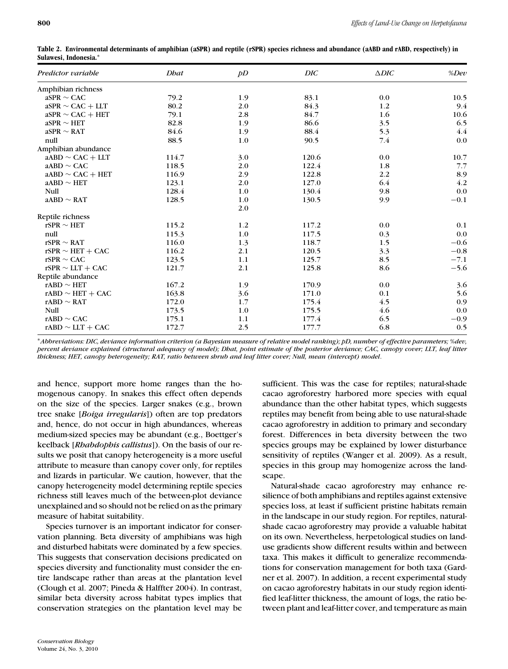| Predictor variable    | <b>Dhat</b> | pD  | DIC   | $\triangle DIC$ | %Dev   |  |  |  |
|-----------------------|-------------|-----|-------|-----------------|--------|--|--|--|
| Amphibian richness    |             |     |       |                 |        |  |  |  |
| $aSPR \sim CAC$       | 79.2        | 1.9 | 83.1  | 0.0             | 10.5   |  |  |  |
| $aSPR \sim CAC + LLT$ | 80.2        | 2.0 | 84.3  | 1.2             | 9.4    |  |  |  |
| $aSPR \sim CAC + HET$ | 79.1        | 2.8 | 84.7  | 1.6             | 10.6   |  |  |  |
| $aSPR \sim HET$       | 82.8        | 1.9 | 86.6  | 3.5             | 6.5    |  |  |  |
| $aSPR \sim RAT$       | 84.6        | 1.9 | 88.4  | 5.3             | 4.4    |  |  |  |
| null                  | 88.5        | 1.0 | 90.5  | 7.4             | 0.0    |  |  |  |
| Amphibian abundance   |             |     |       |                 |        |  |  |  |
| $aABD \sim CAC + LLT$ | 114.7       | 3.0 | 120.6 | 0.0             | 10.7   |  |  |  |
| $aABD \sim CAC$       | 118.5       | 2.0 | 122.4 | 1.8             | 7.7    |  |  |  |
| $aABD \sim CAC + HET$ | 116.9       | 2.9 | 122.8 | 2.2             | 8.9    |  |  |  |
| $aABD \sim HET$       | 123.1       | 2.0 | 127.0 | 6.4             | 4.2    |  |  |  |
| Null                  | 128.4       | 1.0 | 130.4 | 9.8             | 0.0    |  |  |  |
| $aABD \sim RAT$       | 128.5       | 1.0 | 130.5 | 9.9             | $-0.1$ |  |  |  |
|                       |             | 2.0 |       |                 |        |  |  |  |
| Reptile richness      |             |     |       |                 |        |  |  |  |
| rSPR $\sim$ HET       | 115.2       | 1.2 | 117.2 | 0.0             | 0.1    |  |  |  |
| null                  | 115.3       | 1.0 | 117.5 | 0.3             | 0.0    |  |  |  |
| $rSPR \sim RAT$       | 116.0       | 1.3 | 118.7 | 1.5             | $-0.6$ |  |  |  |
| $rSPR \sim HET + CAC$ | 116.2       | 2.1 | 120.5 | 3.3             | $-0.8$ |  |  |  |
| $rSPR \sim CAC$       | 123.5       | 1.1 | 125.7 | 8.5             | $-7.1$ |  |  |  |
| $rSPR \sim LLT + CAC$ | 121.7       | 2.1 | 125.8 | 8.6             | $-5.6$ |  |  |  |
| Reptile abundance     |             |     |       |                 |        |  |  |  |
| rABD $\sim$ HET       | 167.2       | 1.9 | 170.9 | 0.0             | 3.6    |  |  |  |
| $rABD \sim HET + CAC$ | 163.8       | 3.6 | 171.0 | 0.1             | 5.6    |  |  |  |
| $rABD \sim RAT$       | 172.0       | 1.7 | 175.4 | 4.5             | 0.9    |  |  |  |
| Null                  | 173.5       | 1.0 | 175.5 | 4.6             | 0.0    |  |  |  |
| $rABD \sim CAC$       | 175.1       | 1.1 | 177.4 | 6.5             | $-0.9$ |  |  |  |
| $rABD \sim LLT + CAC$ | 172.7       | 2.5 | 177.7 | 6.8             | 0.5    |  |  |  |

**Table 2. Environmental determinants of amphibian (aSPR) and reptile (rSPR) species richness and abundance (aABD and rABD, respectively) in Sulawesi, Indonesia.**<sup>∗</sup>

∗*Abbreviations: DIC, deviance information criterion (a Bayesian measure of relative model ranking); pD, number of effective parameters; %dev, percent deviance explained (structural adequacy of model); Dhat, point estimate of the posterior deviance; CAC, canopy cover; LLT, leaf litter thickness; HET, canopy heterogeneity; RAT, ratio between shrub and leaf litter cover; Null, mean (intercept) model*.

and hence, support more home ranges than the homogenous canopy. In snakes this effect often depends on the size of the species. Larger snakes (e.g., brown tree snake [*Boiga irregularis*]) often are top predators and, hence, do not occur in high abundances, whereas medium-sized species may be abundant (e.g., Boettger's keelback [*Rhabdophis callistus*]). On the basis of our results we posit that canopy heterogeneity is a more useful attribute to measure than canopy cover only, for reptiles and lizards in particular. We caution, however, that the canopy heterogeneity model determining reptile species richness still leaves much of the between-plot deviance unexplained and so should not be relied on as the primary measure of habitat suitability.

Species turnover is an important indicator for conservation planning. Beta diversity of amphibians was high and disturbed habitats were dominated by a few species. This suggests that conservation decisions predicated on species diversity and functionality must consider the entire landscape rather than areas at the plantation level (Clough et al. 2007; Pineda & Halffter 2004). In contrast, similar beta diversity across habitat types implies that conservation strategies on the plantation level may be

sufficient. This was the case for reptiles; natural-shade cacao agroforestry harbored more species with equal abundance than the other habitat types, which suggests reptiles may benefit from being able to use natural-shade cacao agroforestry in addition to primary and secondary forest. Differences in beta diversity between the two species groups may be explained by lower disturbance sensitivity of reptiles (Wanger et al. 2009). As a result, species in this group may homogenize across the landscape.

Natural-shade cacao agroforestry may enhance resilience of both amphibians and reptiles against extensive species loss, at least if sufficient pristine habitats remain in the landscape in our study region. For reptiles, naturalshade cacao agroforestry may provide a valuable habitat on its own. Nevertheless, herpetological studies on landuse gradients show different results within and between taxa. This makes it difficult to generalize recommendations for conservation management for both taxa (Gardner et al. 2007). In addition, a recent experimental study on cacao agroforestry habitats in our study region identified leaf-litter thickness, the amount of logs, the ratio between plant and leaf-litter cover, and temperature as main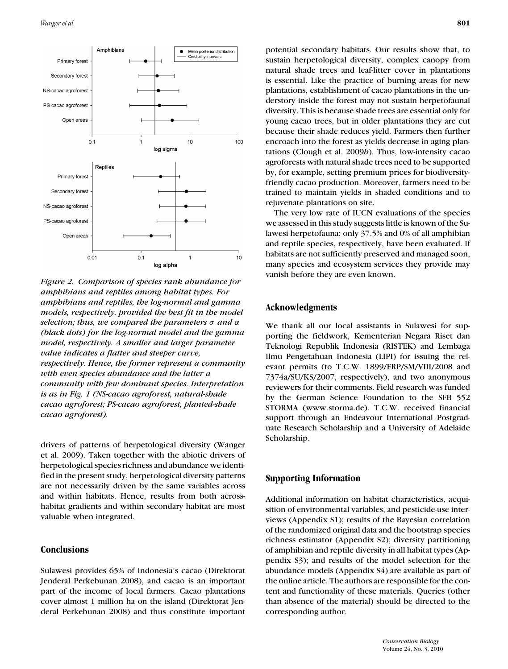

*Figure 2. Comparison of species rank abundance for amphibians and reptiles among habitat types. For amphibians and reptiles, the log-normal and gamma models, respectively, provided the best fit in the model selection; thus, we compared the parameters* σ *and* α *(black dots) for the log-normal model and the gamma model, respectively. A smaller and larger parameter value indicates a flatter and steeper curve, respectively. Hence, the former represent a community with even species abundance and the latter a community with few dominant species. Interpretation is as in Fig. 1 (NS-cacao agroforest, natural-shade cacao agroforest; PS-cacao agroforest, planted-shade cacao agroforest).*

drivers of patterns of herpetological diversity (Wanger et al. 2009). Taken together with the abiotic drivers of herpetological species richness and abundance we identified in the present study, herpetological diversity patterns are not necessarily driven by the same variables across and within habitats. Hence, results from both acrosshabitat gradients and within secondary habitat are most valuable when integrated.

## **Conclusions**

Sulawesi provides 65% of Indonesia's cacao (Direktorat Jenderal Perkebunan 2008), and cacao is an important part of the income of local farmers. Cacao plantations cover almost 1 million ha on the island (Direktorat Jenderal Perkebunan 2008) and thus constitute important potential secondary habitats. Our results show that, to sustain herpetological diversity, complex canopy from natural shade trees and leaf-litter cover in plantations is essential. Like the practice of burning areas for new plantations, establishment of cacao plantations in the understory inside the forest may not sustain herpetofaunal diversity. This is because shade trees are essential only for young cacao trees, but in older plantations they are cut because their shade reduces yield. Farmers then further encroach into the forest as yields decrease in aging plantations (Clough et al. 2009*b*). Thus, low-intensity cacao agroforests with natural shade trees need to be supported by, for example, setting premium prices for biodiversityfriendly cacao production. Moreover, farmers need to be trained to maintain yields in shaded conditions and to rejuvenate plantations on site.

The very low rate of IUCN evaluations of the species we assessed in this study suggests little is known of the Sulawesi herpetofauna; only 37.5% and 0% of all amphibian and reptile species, respectively, have been evaluated. If habitats are not sufficiently preserved and managed soon, many species and ecosystem services they provide may vanish before they are even known.

## **Acknowledgments**

We thank all our local assistants in Sulawesi for supporting the fieldwork, Kementerian Negara Riset dan Teknologi Republik Indonesia (RISTEK) and Lembaga Ilmu Pengetahuan Indonesia (LIPI) for issuing the relevant permits (to T.C.W. 1899/FRP/SM/VIII/2008 and 7374a/SU/KS/2007, respectively), and two anonymous reviewers for their comments. Field research was funded by the German Science Foundation to the SFB 552 STORMA (www.storma.de). T.C.W. received financial support through an Endeavour International Postgraduate Research Scholarship and a University of Adelaide Scholarship.

## **Supporting Information**

Additional information on habitat characteristics, acquisition of environmental variables, and pesticide-use interviews (Appendix S1); results of the Bayesian correlation of the randomized original data and the bootstrap species richness estimator (Appendix S2); diversity partitioning of amphibian and reptile diversity in all habitat types (Appendix S3); and results of the model selection for the abundance models (Appendix S4) are available as part of the online article. The authors are responsible for the content and functionality of these materials. Queries (other than absence of the material) should be directed to the corresponding author.